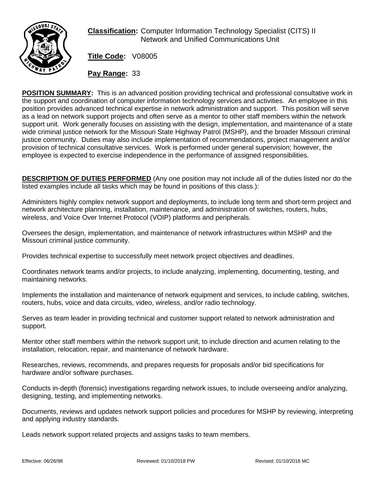

## **Classification:** Computer Information Technology Specialist (CITS) II Network and Unified Communications Unit

**Title Code:** V08005

**Pay Range:** 33

**POSITION SUMMARY:** This is an advanced position providing technical and professional consultative work in the support and coordination of computer information technology services and activities. An employee in this position provides advanced technical expertise in network administration and support. This position will serve as a lead on network support projects and often serve as a mentor to other staff members within the network support unit. Work generally focuses on assisting with the design, implementation, and maintenance of a state wide criminal justice network for the Missouri State Highway Patrol (MSHP), and the broader Missouri criminal justice community. Duties may also include implementation of recommendations, project management and/or provision of technical consultative services. Work is performed under general supervision; however, the employee is expected to exercise independence in the performance of assigned responsibilities.

**DESCRIPTION OF DUTIES PERFORMED** (Any one position may not include all of the duties listed nor do the listed examples include all tasks which may be found in positions of this class.):

Administers highly complex network support and deployments, to include long term and short-term project and network architecture planning, installation, maintenance, and administration of switches, routers, hubs, wireless, and Voice Over Internet Protocol (VOIP) platforms and peripherals.

Oversees the design, implementation, and maintenance of network infrastructures within MSHP and the Missouri criminal justice community.

Provides technical expertise to successfully meet network project objectives and deadlines.

Coordinates network teams and/or projects, to include analyzing, implementing, documenting, testing, and maintaining networks.

Implements the installation and maintenance of network equipment and services, to include cabling, switches, routers, hubs, voice and data circuits, video, wireless, and/or radio technology.

Serves as team leader in providing technical and customer support related to network administration and support.

Mentor other staff members within the network support unit, to include direction and acumen relating to the installation, relocation, repair, and maintenance of network hardware.

Researches, reviews, recommends, and prepares requests for proposals and/or bid specifications for hardware and/or software purchases.

Conducts in-depth (forensic) investigations regarding network issues, to include overseeing and/or analyzing, designing, testing, and implementing networks.

Documents, reviews and updates network support policies and procedures for MSHP by reviewing, interpreting and applying industry standards.

Leads network support related projects and assigns tasks to team members.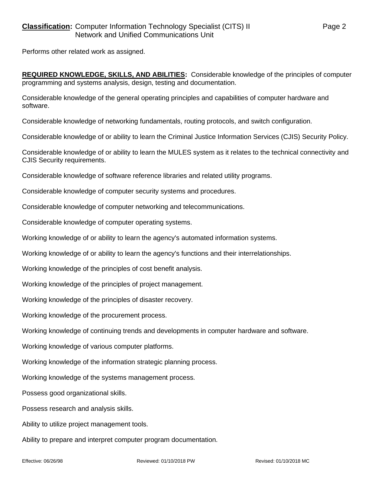Performs other related work as assigned.

**REQUIRED KNOWLEDGE, SKILLS, AND ABILITIES:** Considerable knowledge of the principles of computer programming and systems analysis, design, testing and documentation.

Considerable knowledge of the general operating principles and capabilities of computer hardware and software.

Considerable knowledge of networking fundamentals, routing protocols, and switch configuration.

Considerable knowledge of or ability to learn the Criminal Justice Information Services (CJIS) Security Policy.

Considerable knowledge of or ability to learn the MULES system as it relates to the technical connectivity and CJIS Security requirements.

Considerable knowledge of software reference libraries and related utility programs.

Considerable knowledge of computer security systems and procedures.

Considerable knowledge of computer networking and telecommunications.

Considerable knowledge of computer operating systems.

Working knowledge of or ability to learn the agency's automated information systems.

Working knowledge of or ability to learn the agency's functions and their interrelationships.

Working knowledge of the principles of cost benefit analysis.

Working knowledge of the principles of project management.

Working knowledge of the principles of disaster recovery.

Working knowledge of the procurement process.

Working knowledge of continuing trends and developments in computer hardware and software.

Working knowledge of various computer platforms.

Working knowledge of the information strategic planning process.

Working knowledge of the systems management process.

Possess good organizational skills.

Possess research and analysis skills.

Ability to utilize project management tools.

Ability to prepare and interpret computer program documentation.